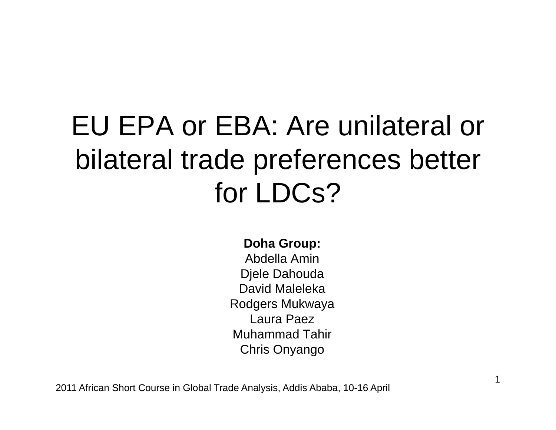### EU EPA or EBA: Are unilateral or bilateral trade preferences better for LDCs?

#### **Doha Group:**

Abdella AminDjele Dahouda David MalelekaRodgers Mukwaya Laura PaezMuhammad TahirChris Onyango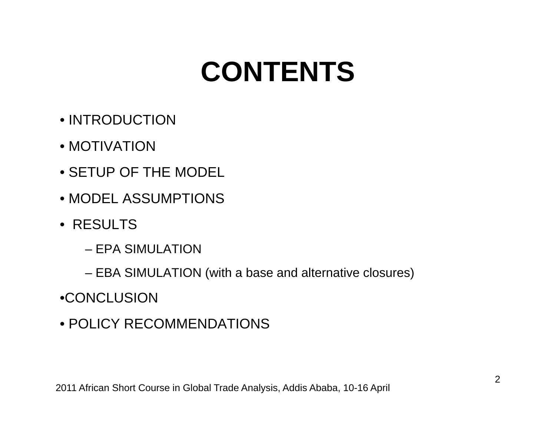## **CONTENTS**

- INTRODUCTION
- MOTIVATION
- SETUP OF THE MODEL
- MODEL ASSUMPTIONS
- RESULTS
	- EPA SIMULATION
	- EBA SIMULATION (with a base and alternative closures)
- •CONCLUSION
- POLICY RECOMMENDATIONS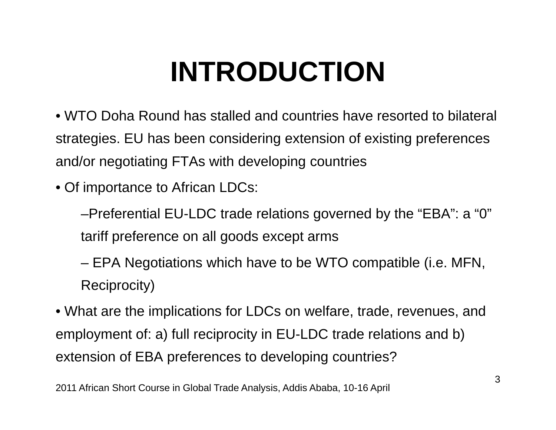## **INTRODUCTION**

• WTO Doha Round has stalled and countries have resorted to bilateral strategies. EU has been considering extension of existing preferences and/or negotiating FTAs with developing countries

- Of importance to African LDCs:
	- –Preferential EU-LDC trade relations governed by the "EBA": a "0" tariff preference on all goods except arms
	- EPA Negotiations which have to be WTO compatible (i.e. MFN, Reciprocity)
- What are the implications for LDCs on welfare, trade, revenues, and employment of: a) full reciprocity in EU-LDC trade relations and b) extension of EBA preferences to developing countries?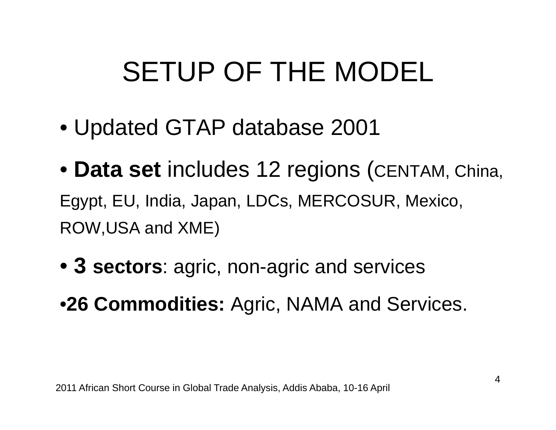## SETUP OF THE MODEL

- Updated GTAP database 2001
- **Data set** includes 12 regions (CENTAM, China, Egypt, EU, India, Japan, LDCs, MERCOSUR, Mexico, ROW,USA and XME)
- **3 sectors**: agric, non-agric and services
- •**26 Commodities:** Agric, NAMA and Services.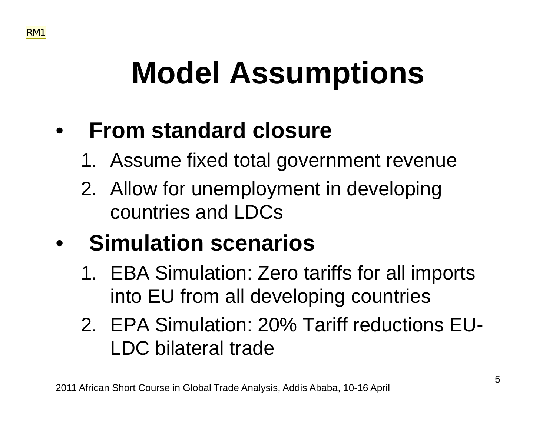

#### $\bullet$ **From standard closure**

RM1

- 1. Assume fixed total government revenue
- 2. Allow for unemployment in developing countries and LDCs

#### •**Simulation scenarios**

- 1. EBA Simulation: Zero tariffs for all imports into EU from all developing countries
- 2. EPA Simulation: 20% Tariff reductions EU-LDC bilateral trade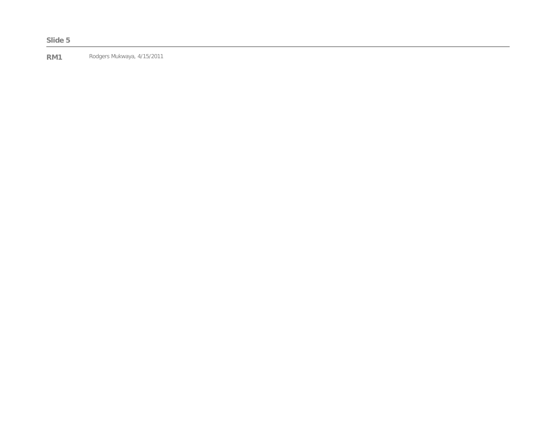RM1 Rodgers Mukwaya, 4/15/2011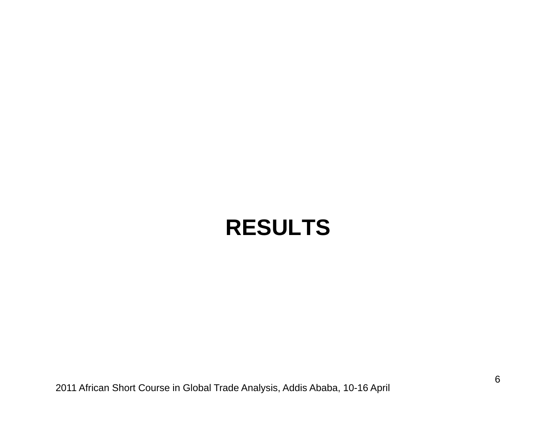### **RESULTS**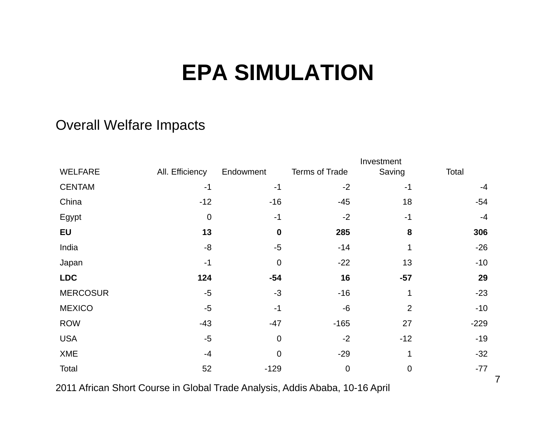#### Overall Welfare Impacts

| <b>WELFARE</b>  | All. Efficiency | Endowment        | Terms of Trade | Saving         | Total  |
|-----------------|-----------------|------------------|----------------|----------------|--------|
| <b>CENTAM</b>   | $-1$            | $-1$             | $-2$           | $-1$           | $-4$   |
| China           | $-12$           | $-16$            | $-45$          | 18             | $-54$  |
| Egypt           | $\mathbf 0$     | $-1$             | $-2$           | $-1$           | $-4$   |
| <b>EU</b>       | 13              | $\bf{0}$         | 285            | 8              | 306    |
| India           | -8              | $-5$             | $-14$          | 1              | $-26$  |
| Japan           | $-1$            | $\boldsymbol{0}$ | $-22$          | 13             | $-10$  |
| <b>LDC</b>      | 124             | $-54$            | 16             | $-57$          | 29     |
| <b>MERCOSUR</b> | $-5$            | $-3$             | $-16$          | 1              | $-23$  |
| <b>MEXICO</b>   | $-5$            | $-1$             | $-6$           | $\overline{2}$ | $-10$  |
| <b>ROW</b>      | $-43$           | $-47$            | $-165$         | 27             | $-229$ |
| <b>USA</b>      | $-5$            | $\boldsymbol{0}$ | $-2$           | $-12$          | $-19$  |
| <b>XME</b>      | $-4$            | $\mathbf 0$      | $-29$          | 1              | $-32$  |
| Total           | 52              | $-129$           | $\mathbf 0$    | $\mathbf 0$    | $-77$  |

2011 African Short Course in Global Trade Analysis, Addis Ababa, 10-16 April

7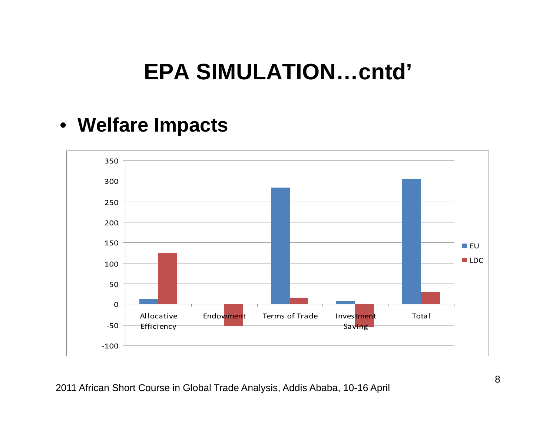### **EPA SIMULATION…cntd'**

#### • **Welfare Impacts**

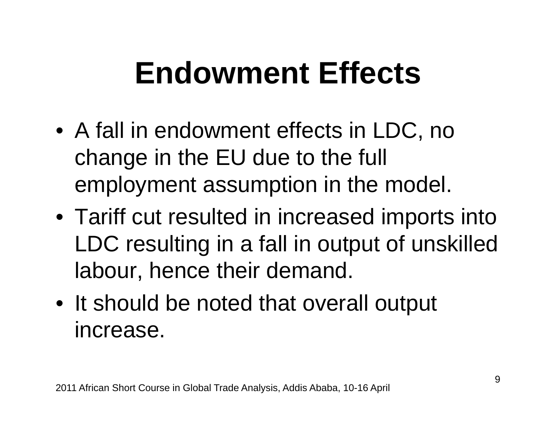# **Endowment Effects**

- A fall in endowment effects in LDC, no change in the EU due to the full employment assumption in the model.
- Tariff cut resulted in increased imports into LDC resulting in a fall in output of unskilled labour, hence their demand.
- It should be noted that overall output increase.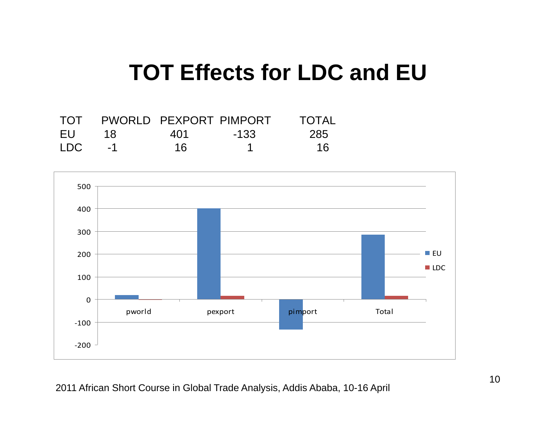### **TOT Effects for LDC and EU**

| TOT | PWORLD PEXPORT PIMPORT |     |      | <b>TOTAL</b> |
|-----|------------------------|-----|------|--------------|
| EU  | - 18                   | 401 | -133 | 285          |
| LDC | $-1$                   | 16  | 1.   | 16           |

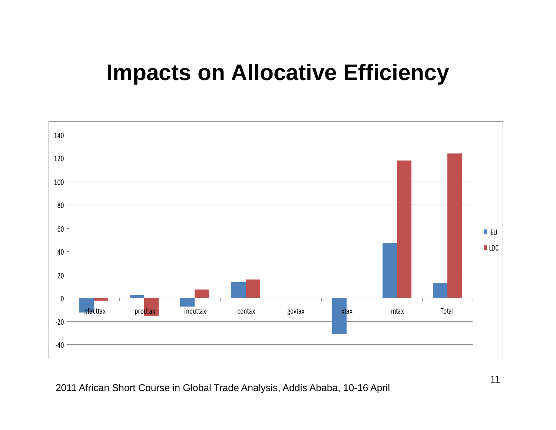#### **Impacts on Allocative Efficiency**

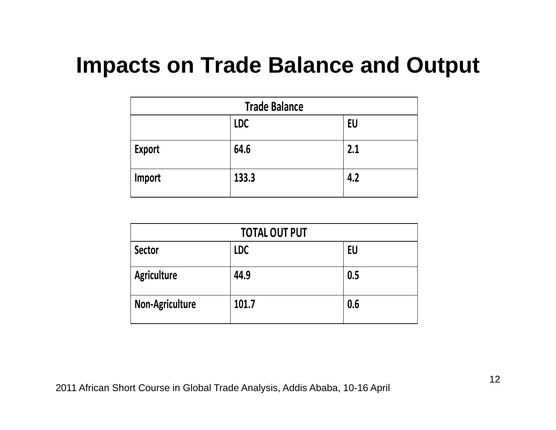### **Impacts on Trade Balance and Output**

| <b>Trade Balance</b> |       |     |  |  |  |
|----------------------|-------|-----|--|--|--|
| <b>LDC</b><br>EU     |       |     |  |  |  |
| <b>Export</b>        | 64.6  | 2.1 |  |  |  |
| Import               | 133.3 | 4.2 |  |  |  |

| <b>TOTAL OUT PUT</b> |            |     |  |  |  |
|----------------------|------------|-----|--|--|--|
| <b>Sector</b>        | <b>LDC</b> | EU  |  |  |  |
| <b>Agriculture</b>   | 44.9       | 0.5 |  |  |  |
| Non-Agriculture      | 101.7      | 0.6 |  |  |  |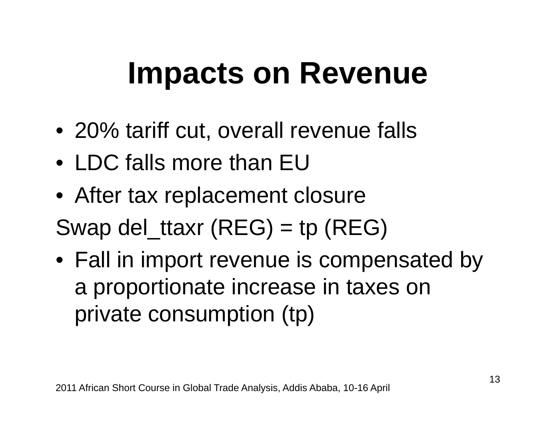# **Impacts on Revenue**

- 20% tariff cut, overall revenue falls
- LDC falls more than EU
- After tax replacement closure

Swap del\_ttaxr  $(REG) = tp (REG)$ 

• Fall in import revenue is compensated by a proportionate increase in taxes on private consumption (tp)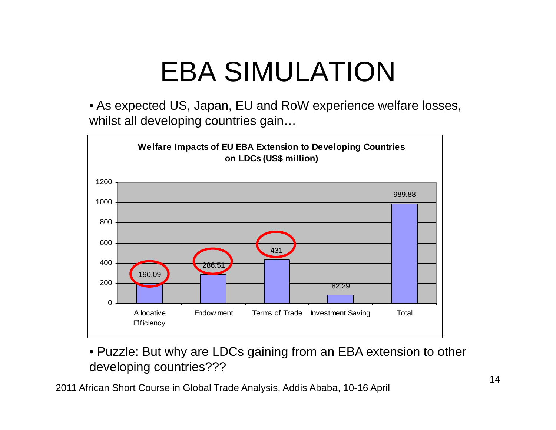• As expected US, Japan, EU and RoW experience welfare losses, whilst all developing countries gain…



• Puzzle: But why are LDCs gaining from an EBA extension to other developing countries???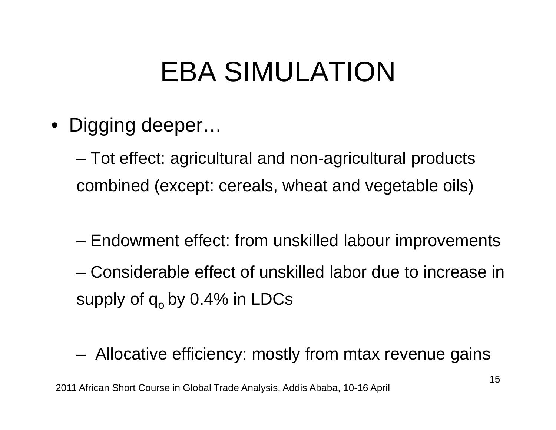• Digging deeper…

 Tot effect: agricultural and non-agricultural products combined (except: cereals, wheat and vegetable oils)

- Endowment effect: from unskilled labour improvements
- Considerable effect of unskilled labor due to increase in supply of  $q_0$  by 0.4% in LDCs
- –Allocative efficiency: mostly from mtax revenue gains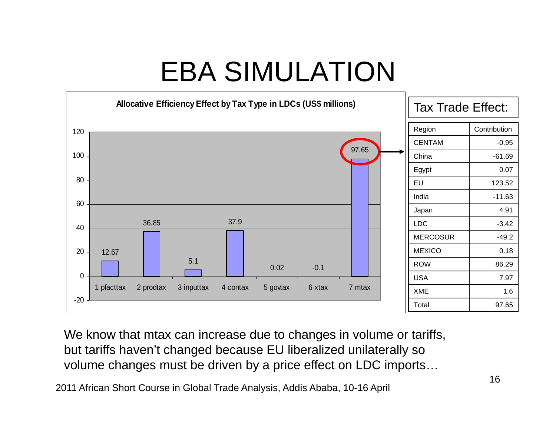

We know that mtax can increase due to changes in volume or tariffs, but tariffs haven't changed because EU liberalized unilaterally so volume changes must be driven by a price effect on LDC imports…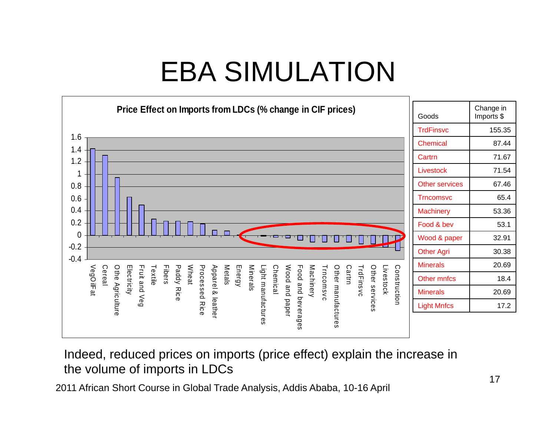

Indeed, reduced prices on imports (price effect) explain the increase in the volume of imports in LDCs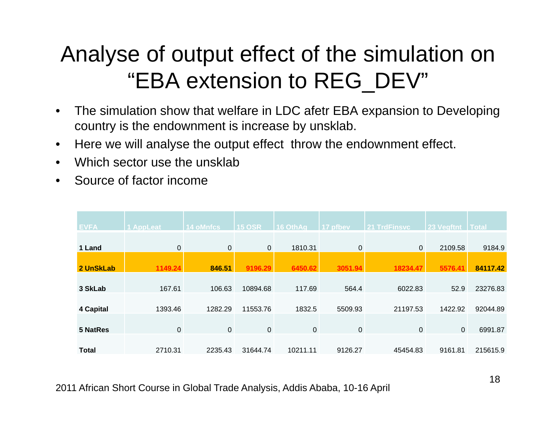### Analyse of output effect of the simulation on "EBA extension to REG\_DEV"

- $\bullet$  The simulation show that welfare in LDC afetr EBA expansion to Developing country is the endownment is increase by unsklab.
- $\bullet$ Here we will analyse the output effect throw the endownment effect.
- $\bullet$ Which sector use the unsklab
- •Source of factor income

| <b>EVFA</b>  | <b>AppLeat</b> | 14 oMnfcs   | <b>15 OSR</b> | 16 OthAa    | 17 pfhey    | 1 TrdFinsvc    | 23 Veaftnt     | <b>Total</b> |
|--------------|----------------|-------------|---------------|-------------|-------------|----------------|----------------|--------------|
|              |                |             |               |             |             |                |                |              |
| 1 Land       | $\mathbf 0$    | 0           | $\mathbf 0$   | 1810.31     | $\pmb{0}$   | $\mathbf 0$    | 2109.58        | 9184.9       |
|              |                |             |               |             |             |                |                |              |
| 2 UnSkLab    | 1149.24        | 846.51      | 9196.29       | 6450.62     | 3051.94     | 18234.47       | 5576.41        | 84117.42     |
| 3 SkLab      | 167.61         | 106.63      | 10894.68      | 117.69      | 564.4       | 6022.83        | 52.9           | 23276.83     |
|              |                |             |               |             |             |                |                |              |
| 4 Capital    | 1393.46        | 1282.29     | 11553.76      | 1832.5      | 5509.93     | 21197.53       | 1422.92        | 92044.89     |
|              |                |             |               |             |             |                |                |              |
| 5 NatRes     | $\mathbf 0$    | $\mathbf 0$ | $\mathbf 0$   | $\mathbf 0$ | $\mathbf 0$ | $\overline{0}$ | $\overline{0}$ | 6991.87      |
|              |                |             |               |             |             |                |                |              |
| <b>Total</b> | 2710.31        | 2235.43     | 31644.74      | 10211.11    | 9126.27     | 45454.83       | 9161.81        | 215615.9     |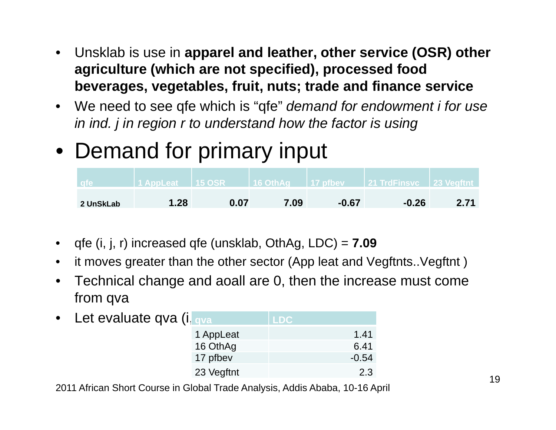- Unsklab is use in **apparel and leather, other service (OSR) other agriculture (which are not specified), processed food beverages, vegetables, fruit, nuts; trade and finance service**
- We need to see qfe which is "qfe" *demand for endowment i for use in ind. j in region r to understand how the factor is using*
- Demand for primary input

| <b>l</b> afe | 1 AppLeat 15 OSR |      | $\vert$ 16 OthAg $\vert$ 17 pfbev |         |         |      |
|--------------|------------------|------|-----------------------------------|---------|---------|------|
| 2 UnSkLab    | 1.28             | 0.07 | 7.09                              | $-0.67$ | $-0.26$ | 2.71 |

- qfe (i, j, r) increased qfe (unsklab, OthAg, LDC) = **7.09**
- $\bullet$ it moves greater than the other sector (App leat and Vegftnts..Vegftnt )
- $\bullet$  Technical change and aoall are 0, then the increase must come from qva

| $\bullet$ | Let evaluate qva (i qva |            | LDC. |         |
|-----------|-------------------------|------------|------|---------|
|           |                         | 1 AppLeat  |      | 1.41    |
|           |                         | 16 OthAg   |      | 6.41    |
|           |                         | 17 pfbev   |      | $-0.54$ |
|           |                         | 23 Vegftnt |      | 2.3     |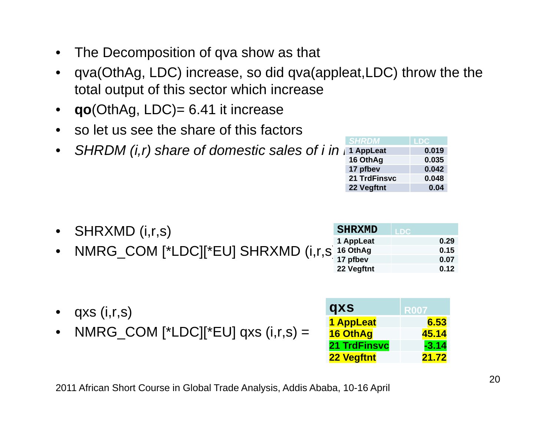- The Decomposition of qva show as that
- $\bullet$  qva(OthAg, LDC) increase, so did qva(appleat,LDC) throw the the total output of this sector which increase
- $\bullet$ **qo**(OthAg, LDC)= 6.41 it increase
- $\bullet$ so let us see the share of this factors
- $\bullet$ *SHRDM (i,r) share of domestic sales of i in*

| <b>SHRDM</b> | l DC. |
|--------------|-------|
| 1 AppLeat    | 0.019 |
| 16 OthAg     | 0.035 |
| 17 pfbev     | 0.042 |
| 21 TrdFinsvc | 0.048 |
| 22 Vegftnt   | 0.04  |

| • SHRXMD $(i,r,s)$                             | <b>SHRXMD</b> | $\overline{\phantom{a}}$ inc. |              |
|------------------------------------------------|---------------|-------------------------------|--------------|
|                                                | 1 AppLeat     |                               | 0.29         |
| • NMRG_COM [*LDC][*EU] SHRXMD (i,r,s) 16 OthAg |               |                               | 0.15<br>0.07 |
|                                                | 22 Vegftnt    |                               | 0.12         |

- qxs (i,r,s)
- $\bullet$  $NMRG$  COM  $[*LDC][*EU]$  qxs  $(i,r,s)$  =

| qxs                 | <b>R007</b> |
|---------------------|-------------|
| 1 AppLeat           | 6.53        |
| 16 OthAg            | 45.14       |
| <b>21 TrdFinsvc</b> | $-3.14$     |
| <b>22 Vegftnt</b>   | 21.72       |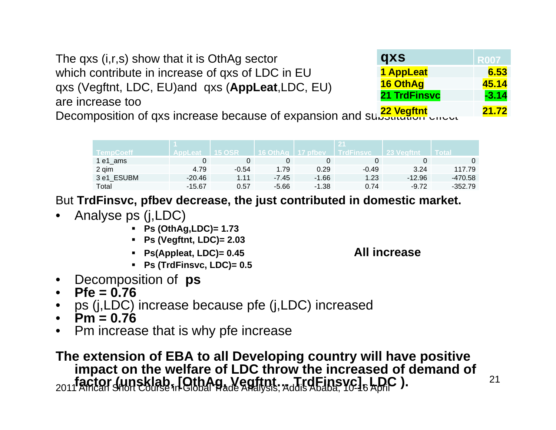The qxs (i,r,s) show that it is OthAg sector which contribute in increase of qxs of LDC in EU qxs (Vegftnt, LDC, EU)and qxs (**AppLeat**,LDC, EU) are increase too

**qxs R007 1 AppLeat 6.53 16 OthAg 45.14 21 TrdFinsvc-3.14**

Decomposition of qxs increase because of expansion and substitution effect **22 Vegftnt 21.72**

|             |          |               |         |           | -21     |          |           |
|-------------|----------|---------------|---------|-----------|---------|----------|-----------|
| TempCoeff   | AppLeat  | <b>15 OSR</b> |         | 717 ptbev |         |          |           |
| 1 $e1$ _ams |          |               |         |           |         |          |           |
| 2 qim       | 4.79     | $-0.54$       | 1.79    | 0.29      | $-0.49$ | 3.24     | 117.79    |
| 3 e1_ESUBM  | $-20.46$ | 1.11          | -7.45   | $-1.66$   | 1.23    | $-12.96$ | -470.58   |
| Total       | $-15.67$ | 0.57          | $-5.66$ | $-1.38$   | 0.74    | $-9.72$  | $-352.79$ |

But **TrdFinsvc, pfbev decrease, the just contributed in domestic market.**

- • Analyse ps (j,LDC)
	- **Ps (OthAg,LDC)= 1.73**
	- **Ps (Vegftnt, LDC)= 2.03**
	- **Ps(Appleat, LDC)= 0.45 All increase**
	- **Ps (TrdFinsvc, LDC)= 0.5**

- •Decomposition of **ps**
- **Pfe = 0.76**
- •ps (j,LDC) increase because pfe (j,LDC) increased
- •**Pm = 0.76**
- •Pm increase that is why pfe increase

#### 2011 **Anicar Sun Sklab, [OthAg, Vegftnt. TrdFinsvc], LDC). The extension of EBA to all Developing country will have positive impact on the welfare of LDC throw the increased of demand of**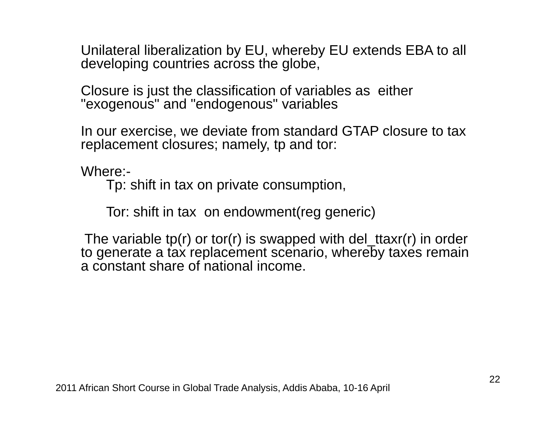Unilateral liberalization by EU, whereby EU extends EBA to all developing countries across the globe,

Closure is just the classification of variables as either "exogenous" and "endogenous" variables

In our exercise, we deviate from standard GTAP closure to tax replacement closures; namely, tp and tor:

Where:-

Tp: shift in tax on private consumption,

Tor: shift in tax on endowment(reg generic)

The variable tp(r) or tor(r) is swapped with del\_ttaxr(r) in order to generate a tax replacement scenario, whereby taxes remain a constant share of national income.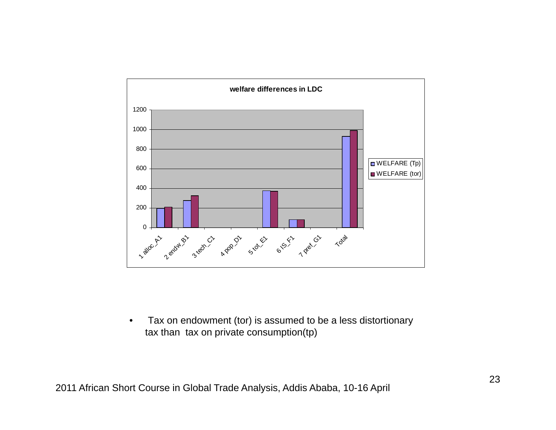

• Tax on endowment (tor) is assumed to be a less distortionary tax than tax on private consumption(tp)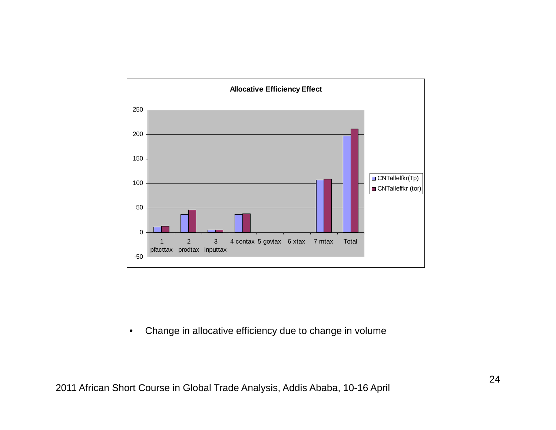

 $\bullet$ Change in allocative efficiency due to change in volume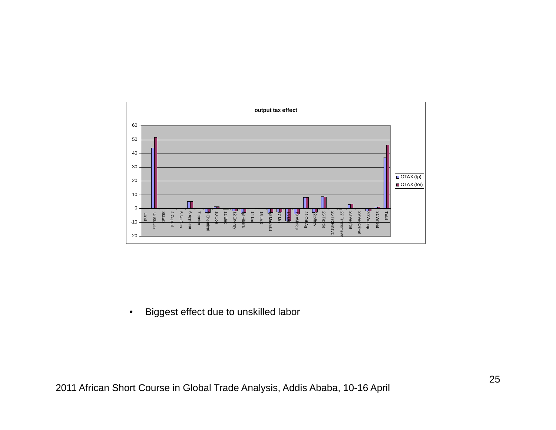

•Biggest effect due to unskilled labor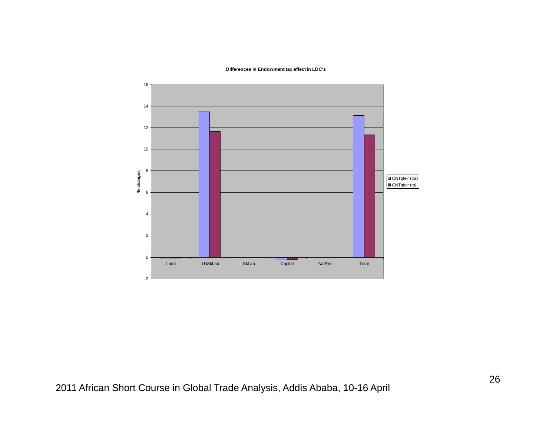#### **Differences in Endowment tax effect in LDC's**

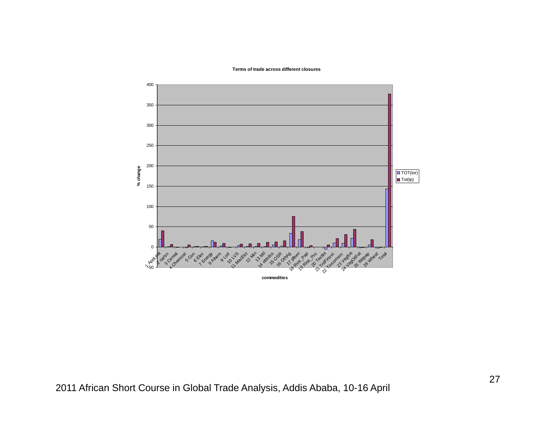#### **Terms of trade across different closures**

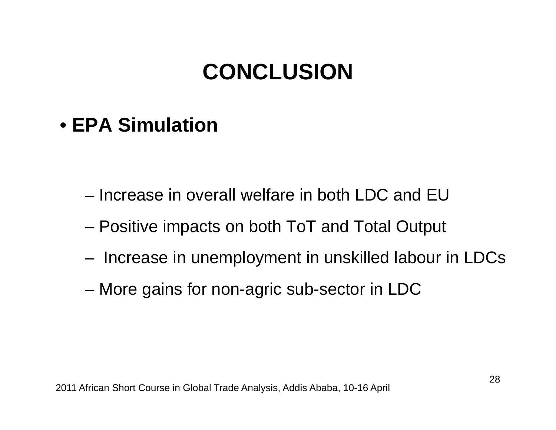### **CONCLUSION**

• **EPA Simulation**

- Increase in overall welfare in both LDC and EU
- Positive impacts on both ToT and Total Output
- –Increase in unemployment in unskilled labour in LDCs
- More gains for non-agric sub-sector in LDC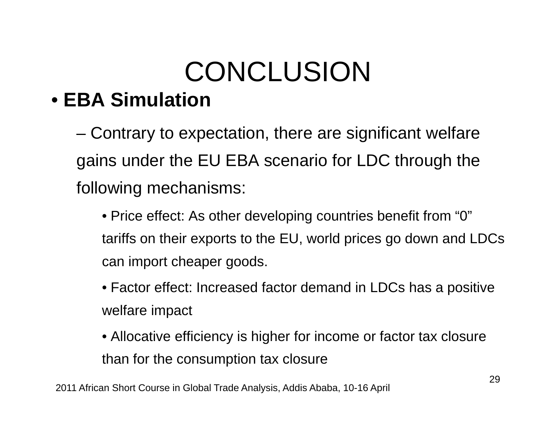# CONCLUSION

#### • **EBA Simulation**

 Contrary to expectation, there are significant welfare gains under the EU EBA scenario for LDC through the following mechanisms:

- Price effect: As other developing countries benefit from "0" tariffs on their exports to the EU, world prices go down and LDCs can import cheaper goods.
- Factor effect: Increased factor demand in LDCs has a positive welfare impact
- Allocative efficiency is higher for income or factor tax closure than for the consumption tax closure